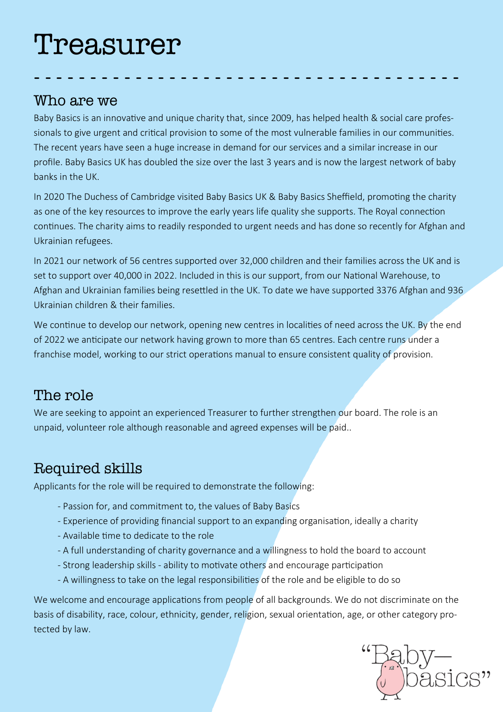# Treasurer

#### Who are we

Baby Basics is an innovative and unique charity that, since 2009, has helped health & social care professionals to give urgent and critical provision to some of the most vulnerable families in our communities. The recent years have seen a huge increase in demand for our services and a similar increase in our profile. Baby Basics UK has doubled the size over the last 3 years and is now the largest network of baby banks in the UK.

- - - - - - - - - - - - - - - - - - - - - - - - - - - - - - - - - - - - - -

In 2020 The Duchess of Cambridge visited Baby Basics UK & Baby Basics Sheffield, promoting the charity as one of the key resources to improve the early years life quality she supports. The Royal connection continues. The charity aims to readily responded to urgent needs and has done so recently for Afghan and Ukrainian refugees.

In 2021 our network of 56 centres supported over 32,000 children and their families across the UK and is set to support over 40,000 in 2022. Included in this is our support, from our National Warehouse, to Afghan and Ukrainian families being resettled in the UK. To date we have supported 3376 Afghan and 936 Ukrainian children & their families.

We continue to develop our network, opening new centres in localities of need across the UK. By the end of 2022 we anticipate our network having grown to more than 65 centres. Each centre runs under a franchise model, working to our strict operations manual to ensure consistent quality of provision.

#### The role

We are seeking to appoint an experienced Treasurer to further strengthen our board. The role is an unpaid, volunteer role although reasonable and agreed expenses will be paid..

## Required skills

Applicants for the role will be required to demonstrate the following:

- Passion for, and commitment to, the values of Baby Basics
- Experience of providing financial support to an expanding organisation, ideally a charity
- Available time to dedicate to the role
- A full understanding of charity governance and a willingness to hold the board to account
- Strong leadership skills ability to motivate others and encourage participation
- A willingness to take on the legal responsibilities of the role and be eligible to do so

We welcome and encourage applications from people of all backgrounds. We do not discriminate on the basis of disability, race, colour, ethnicity, gender, religion, sexual orientation, age, or other category protected by law.